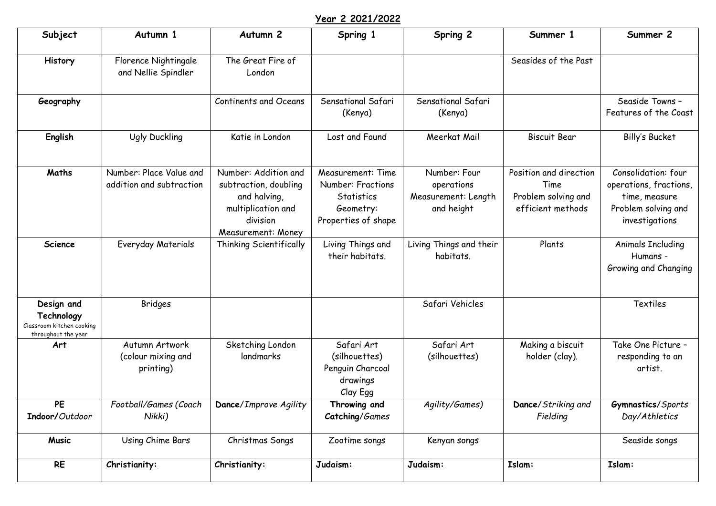## **Year 2 2021/2022**

| Subject                                                                      | Autumn 1                                            | Autumn <sub>2</sub>                                                                                                   | Spring 1                                                                                               | Spring 2                                                        | Summer 1                                                                   | Summer 2                                                                                                |
|------------------------------------------------------------------------------|-----------------------------------------------------|-----------------------------------------------------------------------------------------------------------------------|--------------------------------------------------------------------------------------------------------|-----------------------------------------------------------------|----------------------------------------------------------------------------|---------------------------------------------------------------------------------------------------------|
| History                                                                      | Florence Nightingale<br>and Nellie Spindler         | The Great Fire of<br>London                                                                                           |                                                                                                        |                                                                 | Seasides of the Past                                                       |                                                                                                         |
| Geography                                                                    |                                                     | <b>Continents and Oceans</b>                                                                                          | Sensational Safari<br>(Kenya)                                                                          | Sensational Safari<br>(Kenya)                                   |                                                                            | Seaside Towns -<br>Features of the Coast                                                                |
| English                                                                      | <b>Ugly Duckling</b>                                | Katie in London                                                                                                       | Lost and Found                                                                                         | Meerkat Mail                                                    | <b>Biscuit Bear</b>                                                        | Billy's Bucket                                                                                          |
| Maths                                                                        | Number: Place Value and<br>addition and subtraction | Number: Addition and<br>subtraction, doubling<br>and halving,<br>multiplication and<br>division<br>Measurement: Money | <b>Measurement: Time</b><br><b>Number: Fractions</b><br>Statistics<br>Geometry:<br>Properties of shape | Number: Four<br>operations<br>Measurement: Length<br>and height | Position and direction<br>Time<br>Problem solving and<br>efficient methods | Consolidation: four<br>operations, fractions,<br>time, measure<br>Problem solving and<br>investigations |
| <b>Science</b>                                                               | Everyday Materials                                  | Thinking Scientifically                                                                                               | Living Things and<br>their habitats.                                                                   | Living Things and their<br>habitats.                            | Plants                                                                     | <b>Animals Including</b><br>Humans -<br>Growing and Changing                                            |
| Design and<br>Technology<br>Classroom kitchen cooking<br>throughout the year | <b>Bridges</b>                                      |                                                                                                                       |                                                                                                        | Safari Vehicles                                                 |                                                                            | <b>Textiles</b>                                                                                         |
| Art                                                                          | Autumn Artwork<br>(colour mixing and<br>printing)   | Sketching London<br>landmarks                                                                                         | Safari Art<br>(silhouettes)<br>Penguin Charcoal<br>drawings<br>Clay Egg                                | Safari Art<br>(silhouettes)                                     | Making a biscuit<br>holder (clay).                                         | Take One Picture -<br>responding to an<br>artist.                                                       |
| <b>PE</b><br>Indoor/Outdoor                                                  | Football/Games (Coach<br>Nikki)                     | Dance/Improve Agility                                                                                                 | Throwing and<br>Catching/Games                                                                         | Agility/Games)                                                  | Dance/Striking and<br>Fielding                                             | Gymnastics/Sports<br>Day/Athletics                                                                      |
| <b>Music</b>                                                                 | Using Chime Bars                                    | Christmas Songs                                                                                                       | Zootime songs                                                                                          | Kenyan songs                                                    |                                                                            | Seaside songs                                                                                           |
| <b>RE</b>                                                                    | Christianity:                                       | Christianity:                                                                                                         | Judaism:                                                                                               | Judaism:                                                        | Islam:                                                                     | Islam:                                                                                                  |